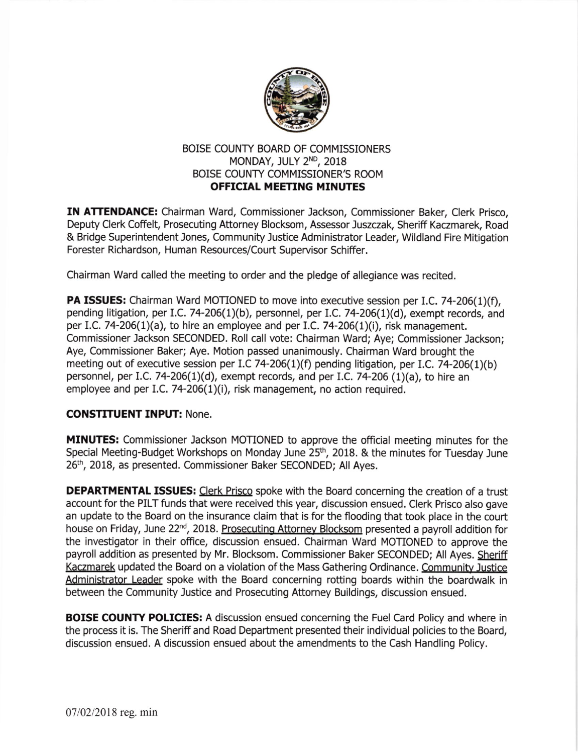

## BOISE COUNTY BOARD OF COMMISSIONERS MONDAY, JULY 2ND, 2018 BOISE COUNTY COMMISSIONER'S ROOM OFFICIAL MEETING MINUTES

IN ATTENDANCE: Chairman Ward, Commissioner Jackson, Commissioner Baker, Clerk Prisco, Deputy Clerk Coffelt, Prosecuting Attorney Blockom, Assessor Juszczak, Sheriff Kaczmarek, Road & Bridge Superintendent Jones, Community Justice Administrator Leader, Wildland Fire Mitigation Forester Richardson, Human Resources/Court Supervisor Schiffer.

Chairman Ward called the meeting to order and the pledge of allegiance was recited.

PA ISSUES: Chairman Ward MOTIONED to move into executive session per I.C. 74-206(1)(f), pending litigation, per I.C. 74-206(1)(b), personnel, per I.C. 74-206(1)(d), exempt records, and per I.C. 74-206(1)(a), to hire an employee and per I.C. 74-206(1)(i), risk management. Commissioner Jackson SECONDED. Roll call vote: Chairman Ward; Aye; Commissioner Jackson; Aye, Commissioner Baker; Aye. Motion passed unanimously. Chairman Ward brought the meeting out of executive session per I.C 74-206(1)(f) pending litigation, per I.C. 74-206(1)(b) personnel, per l.C. 74-206(1)(d), exempt records, and per I.C. 74-206 (1)(a), to hire an employee and per I.C. 74-206(1)(i), risk management, no action required.

## CONSTITUENT INPUT: None.

MINUTES: Commissioner Jackson MOTIONED to approve the official meeting minutes for the Special Meeting-Budget Workshops on Monday June 25<sup>th</sup>, 2018. & the minutes for Tuesday June 26th, 2018, as presented. Commissioner Baker SECONDED; All Ayes.

DEPARTMENTAL ISSUES: Clerk Prisco spoke with the Board concerning the creation of a trust account for the PILT funds that were received this year, discussion ensued. Clerk Prisco also gave an update to the Board on the insurance claim that is for the flooding that took place in the court house on Friday, June 22'd, 2018. Prosecuting Attornev Blocksom presented a payroll addition for the investigator in their office, discussion ensued. Chairman Ward MOTIONED to approve the payroll addition as presented by Mr. Blocksom. Commissioner Baker SECONDED; All Ayes. Sheriff Kaczmarek updated the Board on a violation of the Mass Gathering Ordinance. Community Justice Administrator Leader spoke with the Board concerning rotting boards within the boardwalk in between the Community Justice and Prosecuting Attorney Buildings, discussion ensued.

**BOISE COUNTY POLICIES:** A discussion ensued concerning the Fuel Card Policy and where in the process it is. The Sheriff and Road Department presented their individual policies to the Board, discussion ensued. A discussion ensued about the amendments to the Cash Handling Poliry.